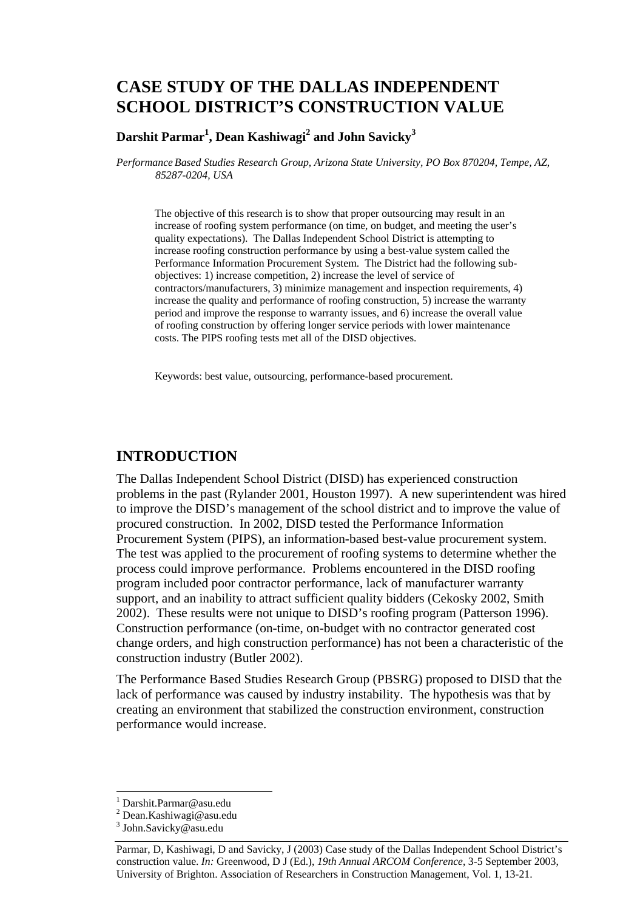# **CASE STUDY OF THE DALLAS INDEPENDENT SCHOOL DISTRICT'S CONSTRUCTION VALUE**

#### $\mathrm{Darshit~Paramar}^{1}, \mathrm{Dean~Kashiwagi}^{2}$  and  $\mathrm{John~Savicky}^{3}$

*Performance Based Studies Research Group, Arizona State University, PO Box 870204, Tempe, AZ, 85287-0204, USA* 

The objective of this research is to show that proper outsourcing may result in an increase of roofing system performance (on time, on budget, and meeting the user's quality expectations). The Dallas Independent School District is attempting to increase roofing construction performance by using a best-value system called the Performance Information Procurement System. The District had the following subobjectives: 1) increase competition, 2) increase the level of service of contractors/manufacturers, 3) minimize management and inspection requirements, 4) increase the quality and performance of roofing construction, 5) increase the warranty period and improve the response to warranty issues, and 6) increase the overall value of roofing construction by offering longer service periods with lower maintenance costs. The PIPS roofing tests met all of the DISD objectives.

Keywords: best value, outsourcing, performance-based procurement.

#### **INTRODUCTION**

The Dallas Independent School District (DISD) has experienced construction problems in the past (Rylander 2001, Houston 1997). A new superintendent was hired to improve the DISD's management of the school district and to improve the value of procured construction. In 2002, DISD tested the Performance Information Procurement System (PIPS), an information-based best-value procurement system. The test was applied to the procurement of roofing systems to determine whether the process could improve performance. Problems encountered in the DISD roofing program included poor contractor performance, lack of manufacturer warranty support, and an inability to attract sufficient quality bidders (Cekosky 2002, Smith 2002). These results were not unique to DISD's roofing program (Patterson 1996). Construction performance (on-time, on-budget with no contractor generated cost change orders, and high construction performance) has not been a characteristic of the construction industry (Butler 2002).

The Performance Based Studies Research Group (PBSRG) proposed to DISD that the lack of performance was caused by industry instability. The hypothesis was that by creating an environment that stabilized the construction environment, construction performance would increase.

l

<sup>1</sup> Darshit.Parmar@asu.edu

<sup>&</sup>lt;sup>2</sup> Dean.Kashiwagi@asu.edu

<sup>&</sup>lt;sup>3</sup> John.Savicky@asu.edu

Parmar, D, Kashiwagi, D and Savicky, J (2003) Case study of the Dallas Independent School District's construction value. *In:* Greenwood, D J (Ed.), *19th Annual ARCOM Conference*, 3-5 September 2003, University of Brighton. Association of Researchers in Construction Management, Vol. 1, 13-21.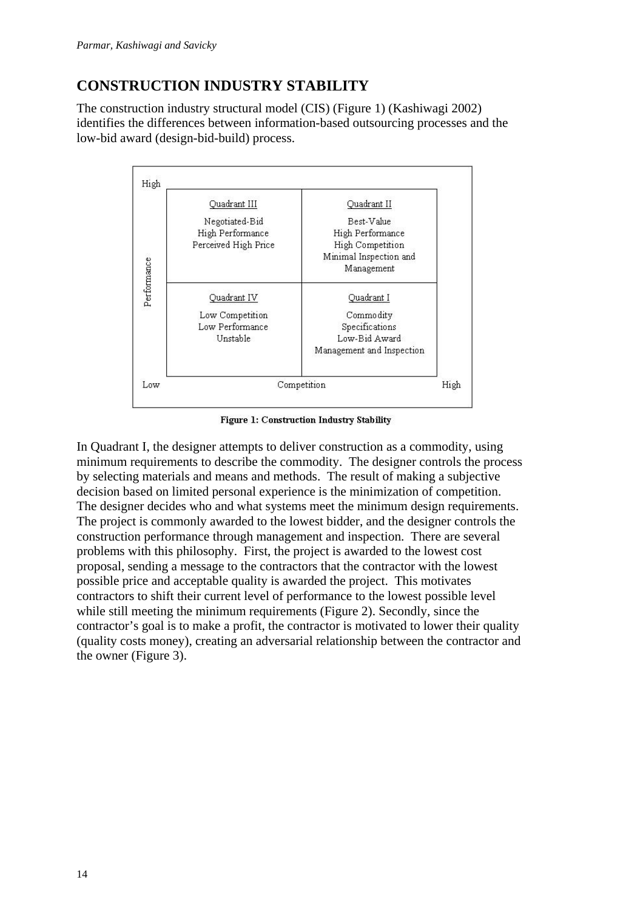# **CONSTRUCTION INDUSTRY STABILITY**

The construction industry structural model (CIS) (Figure 1) (Kashiwagi 2002) identifies the differences between information-based outsourcing processes and the low-bid award (design-bid-build) process.



Figure 1: Construction Industry Stability

In Quadrant I, the designer attempts to deliver construction as a commodity, using minimum requirements to describe the commodity. The designer controls the process by selecting materials and means and methods. The result of making a subjective decision based on limited personal experience is the minimization of competition. The designer decides who and what systems meet the minimum design requirements. The project is commonly awarded to the lowest bidder, and the designer controls the construction performance through management and inspection. There are several problems with this philosophy. First, the project is awarded to the lowest cost proposal, sending a message to the contractors that the contractor with the lowest possible price and acceptable quality is awarded the project. This motivates contractors to shift their current level of performance to the lowest possible level while still meeting the minimum requirements (Figure 2). Secondly, since the contractor's goal is to make a profit, the contractor is motivated to lower their quality (quality costs money), creating an adversarial relationship between the contractor and the owner (Figure 3).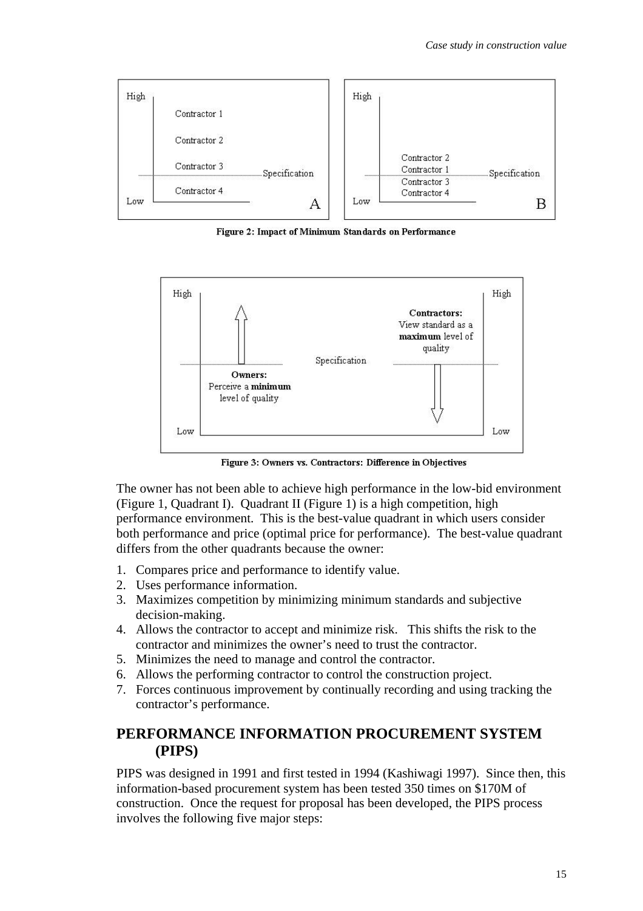

Figure 2: Impact of Minimum Standards on Performance



Figure 3: Owners vs. Contractors: Difference in Objectives

The owner has not been able to achieve high performance in the low-bid environment (Figure 1, Quadrant I). Quadrant II (Figure 1) is a high competition, high performance environment. This is the best-value quadrant in which users consider both performance and price (optimal price for performance). The best-value quadrant differs from the other quadrants because the owner:

- 1. Compares price and performance to identify value.
- 2. Uses performance information.
- 3. Maximizes competition by minimizing minimum standards and subjective decision-making.
- 4. Allows the contractor to accept and minimize risk. This shifts the risk to the contractor and minimizes the owner's need to trust the contractor.
- 5. Minimizes the need to manage and control the contractor.
- 6. Allows the performing contractor to control the construction project.
- 7. Forces continuous improvement by continually recording and using tracking the contractor's performance.

### **PERFORMANCE INFORMATION PROCUREMENT SYSTEM (PIPS)**

PIPS was designed in 1991 and first tested in 1994 (Kashiwagi 1997). Since then, this information-based procurement system has been tested 350 times on \$170M of construction. Once the request for proposal has been developed, the PIPS process involves the following five major steps: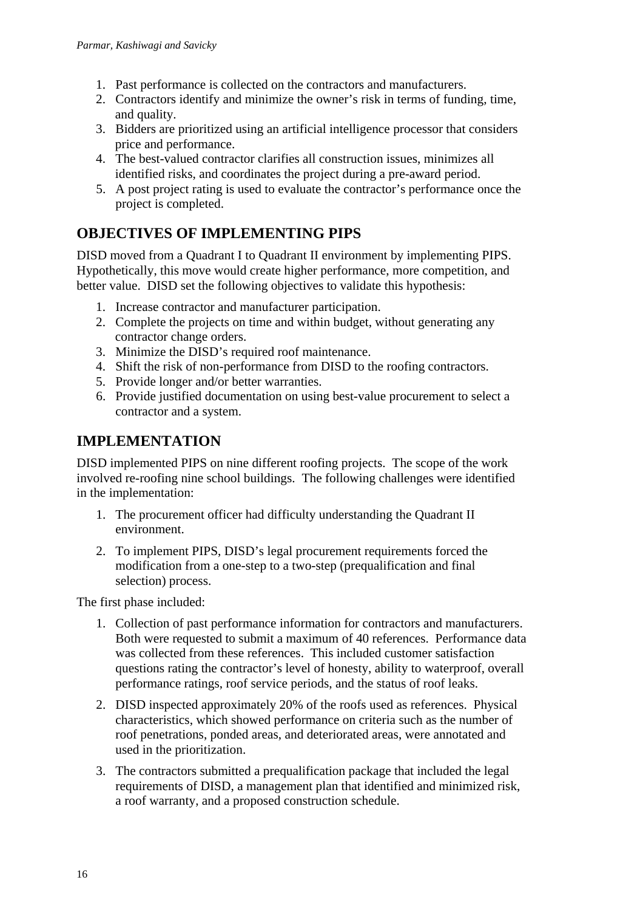- 1. Past performance is collected on the contractors and manufacturers.
- 2. Contractors identify and minimize the owner's risk in terms of funding, time, and quality.
- 3. Bidders are prioritized using an artificial intelligence processor that considers price and performance.
- 4. The best-valued contractor clarifies all construction issues, minimizes all identified risks, and coordinates the project during a pre-award period.
- 5. A post project rating is used to evaluate the contractor's performance once the project is completed.

## **OBJECTIVES OF IMPLEMENTING PIPS**

DISD moved from a Quadrant I to Quadrant II environment by implementing PIPS. Hypothetically, this move would create higher performance, more competition, and better value. DISD set the following objectives to validate this hypothesis:

- 1. Increase contractor and manufacturer participation.
- 2. Complete the projects on time and within budget, without generating any contractor change orders.
- 3. Minimize the DISD's required roof maintenance.
- 4. Shift the risk of non-performance from DISD to the roofing contractors.
- 5. Provide longer and/or better warranties.
- 6. Provide justified documentation on using best-value procurement to select a contractor and a system.

## **IMPLEMENTATION**

DISD implemented PIPS on nine different roofing projects. The scope of the work involved re-roofing nine school buildings. The following challenges were identified in the implementation:

- 1. The procurement officer had difficulty understanding the Quadrant II environment.
- 2. To implement PIPS, DISD's legal procurement requirements forced the modification from a one-step to a two-step (prequalification and final selection) process.

The first phase included:

- 1. Collection of past performance information for contractors and manufacturers. Both were requested to submit a maximum of 40 references. Performance data was collected from these references. This included customer satisfaction questions rating the contractor's level of honesty, ability to waterproof, overall performance ratings, roof service periods, and the status of roof leaks.
- 2. DISD inspected approximately 20% of the roofs used as references. Physical characteristics, which showed performance on criteria such as the number of roof penetrations, ponded areas, and deteriorated areas, were annotated and used in the prioritization.
- 3. The contractors submitted a prequalification package that included the legal requirements of DISD, a management plan that identified and minimized risk, a roof warranty, and a proposed construction schedule.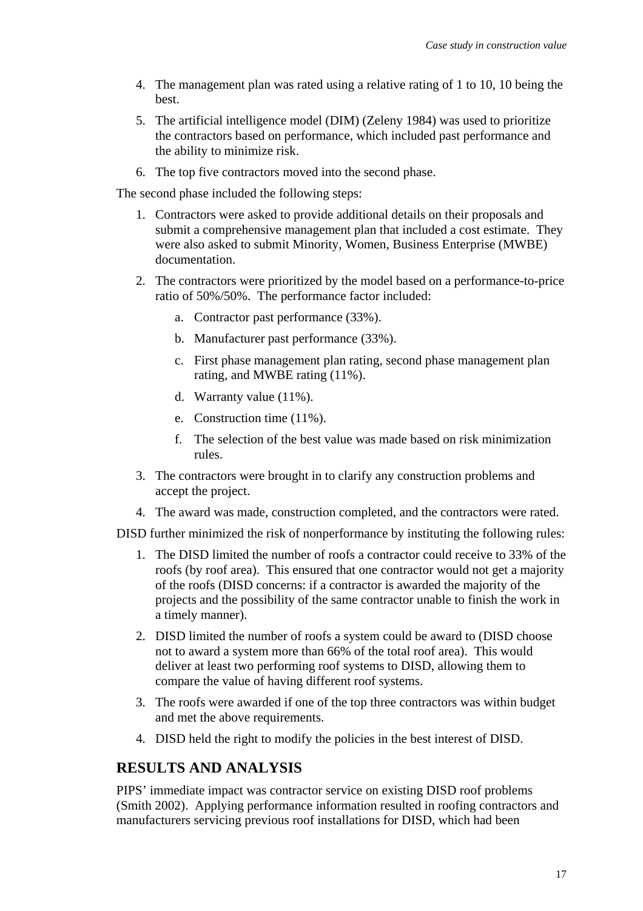- 4. The management plan was rated using a relative rating of 1 to 10, 10 being the best.
- 5. The artificial intelligence model (DIM) (Zeleny 1984) was used to prioritize the contractors based on performance, which included past performance and the ability to minimize risk.
- 6. The top five contractors moved into the second phase.

The second phase included the following steps:

- 1. Contractors were asked to provide additional details on their proposals and submit a comprehensive management plan that included a cost estimate. They were also asked to submit Minority, Women, Business Enterprise (MWBE) documentation.
- 2. The contractors were prioritized by the model based on a performance-to-price ratio of 50%/50%. The performance factor included:
	- a. Contractor past performance (33%).
	- b. Manufacturer past performance (33%).
	- c. First phase management plan rating, second phase management plan rating, and MWBE rating (11%).
	- d. Warranty value (11%).
	- e. Construction time (11%).
	- f. The selection of the best value was made based on risk minimization rules.
- 3. The contractors were brought in to clarify any construction problems and accept the project.
- 4. The award was made, construction completed, and the contractors were rated.

DISD further minimized the risk of nonperformance by instituting the following rules:

- 1. The DISD limited the number of roofs a contractor could receive to 33% of the roofs (by roof area). This ensured that one contractor would not get a majority of the roofs (DISD concerns: if a contractor is awarded the majority of the projects and the possibility of the same contractor unable to finish the work in a timely manner).
- 2. DISD limited the number of roofs a system could be award to (DISD choose not to award a system more than 66% of the total roof area). This would deliver at least two performing roof systems to DISD, allowing them to compare the value of having different roof systems.
- 3. The roofs were awarded if one of the top three contractors was within budget and met the above requirements.
- 4. DISD held the right to modify the policies in the best interest of DISD.

## **RESULTS AND ANALYSIS**

PIPS' immediate impact was contractor service on existing DISD roof problems (Smith 2002). Applying performance information resulted in roofing contractors and manufacturers servicing previous roof installations for DISD, which had been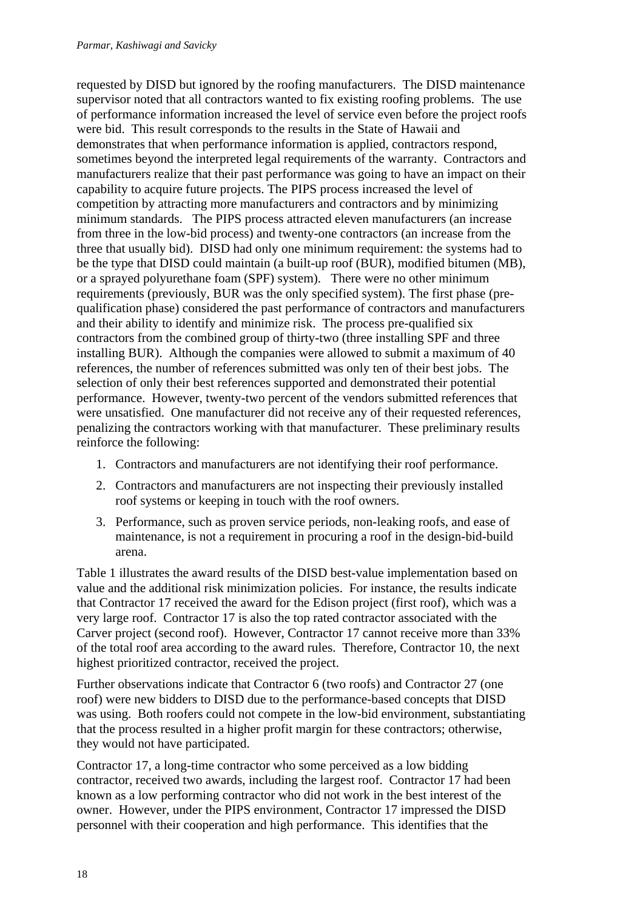requested by DISD but ignored by the roofing manufacturers. The DISD maintenance supervisor noted that all contractors wanted to fix existing roofing problems. The use of performance information increased the level of service even before the project roofs were bid. This result corresponds to the results in the State of Hawaii and demonstrates that when performance information is applied, contractors respond, sometimes beyond the interpreted legal requirements of the warranty. Contractors and manufacturers realize that their past performance was going to have an impact on their capability to acquire future projects. The PIPS process increased the level of competition by attracting more manufacturers and contractors and by minimizing minimum standards. The PIPS process attracted eleven manufacturers (an increase from three in the low-bid process) and twenty-one contractors (an increase from the three that usually bid). DISD had only one minimum requirement: the systems had to be the type that DISD could maintain (a built-up roof (BUR), modified bitumen (MB), or a sprayed polyurethane foam (SPF) system). There were no other minimum requirements (previously, BUR was the only specified system). The first phase (prequalification phase) considered the past performance of contractors and manufacturers and their ability to identify and minimize risk. The process pre-qualified six contractors from the combined group of thirty-two (three installing SPF and three installing BUR). Although the companies were allowed to submit a maximum of 40 references, the number of references submitted was only ten of their best jobs. The selection of only their best references supported and demonstrated their potential performance. However, twenty-two percent of the vendors submitted references that were unsatisfied. One manufacturer did not receive any of their requested references, penalizing the contractors working with that manufacturer. These preliminary results reinforce the following:

- 1. Contractors and manufacturers are not identifying their roof performance.
- 2. Contractors and manufacturers are not inspecting their previously installed roof systems or keeping in touch with the roof owners.
- 3. Performance, such as proven service periods, non-leaking roofs, and ease of maintenance, is not a requirement in procuring a roof in the design-bid-build arena.

Table 1 illustrates the award results of the DISD best-value implementation based on value and the additional risk minimization policies. For instance, the results indicate that Contractor 17 received the award for the Edison project (first roof), which was a very large roof. Contractor 17 is also the top rated contractor associated with the Carver project (second roof). However, Contractor 17 cannot receive more than 33% of the total roof area according to the award rules. Therefore, Contractor 10, the next highest prioritized contractor, received the project.

Further observations indicate that Contractor 6 (two roofs) and Contractor 27 (one roof) were new bidders to DISD due to the performance-based concepts that DISD was using. Both roofers could not compete in the low-bid environment, substantiating that the process resulted in a higher profit margin for these contractors; otherwise, they would not have participated.

Contractor 17, a long-time contractor who some perceived as a low bidding contractor, received two awards, including the largest roof. Contractor 17 had been known as a low performing contractor who did not work in the best interest of the owner. However, under the PIPS environment, Contractor 17 impressed the DISD personnel with their cooperation and high performance. This identifies that the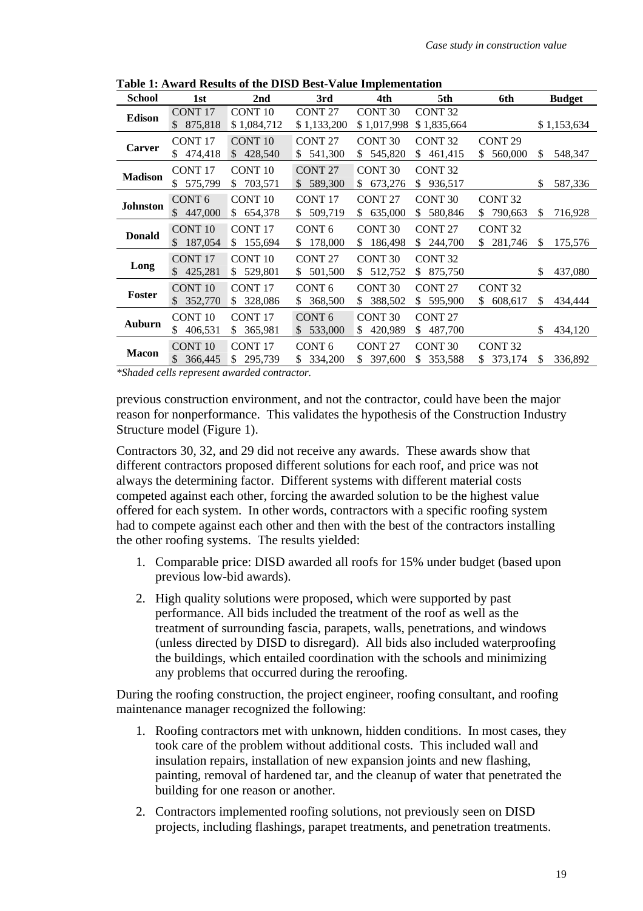| <b>School</b><br>2 <sub>nd</sub><br>3rd<br>4th<br>1st                                            | 5th<br>6th<br><b>Budget</b>                |
|--------------------------------------------------------------------------------------------------|--------------------------------------------|
| CONT <sub>10</sub><br>CONT <sub>27</sub><br><b>CONT17</b><br>CONT <sub>30</sub><br><b>Edison</b> | CONT <sub>32</sub>                         |
| 875,818<br>\$1,084,712<br>\$1,133,200<br>\$1,017,998<br>\$.                                      | \$1,835,664<br>\$1,153,634                 |
| <b>CONT 10</b><br>CONT <sub>17</sub><br>CONT <sub>27</sub><br>CONT <sub>30</sub>                 | CONT <sub>32</sub><br>CONT <sub>29</sub>   |
| <b>Carver</b><br>\$428,540<br>541,300<br>545,820<br>474,418<br>\$<br>S.<br>S.                    | \$<br>548,347<br>461,415<br>\$.<br>560,000 |
| <b>CONT 27</b><br><b>CONT 30</b><br><b>CONT17</b><br>CONT <sub>10</sub>                          | CONT <sub>32</sub>                         |
| <b>Madison</b><br>575,799<br>703,571<br>589,300<br>\$<br>673,276<br>\$.<br>\$<br>\$<br>\$.       | \$<br>936,517<br>587,336                   |
| CONT <sub>6</sub><br>CONT <sub>10</sub><br><b>CONT17</b><br>CONT <sub>27</sub>                   | CONT <sub>30</sub><br>CONT <sub>32</sub>   |
| <b>Johnston</b><br>\$<br>447,000<br>509,719<br>654,378<br>635,000<br>\$<br>\$<br>\$<br>\$.       | 580,846<br>790,663<br>\$<br>716,928<br>S.  |
| <b>CONT 10</b><br>CONT <sub>17</sub><br>CONT <sub>6</sub><br>CONT <sub>30</sub>                  | CONT <sub>32</sub><br>CONT <sub>27</sub>   |
| <b>Donald</b><br>187,054<br>155,694<br>178,000<br>\$<br>186,498<br>\$.<br>\$<br>\$<br>\$.        | 244,700<br>281,746<br>\$<br>175,576<br>\$. |
| CONT <sub>10</sub><br>CONT <sub>30</sub><br><b>CONT17</b><br>CONT <sub>27</sub>                  | CONT <sub>32</sub>                         |
| Long<br>425,281<br>529,801<br>501,500<br>512,752<br>\$.<br>\$<br>\$.<br>S<br>\$                  | 875,750<br>\$<br>437,080                   |
| <b>CONT 10</b><br>CONT <sub>17</sub><br>CONT <sub>6</sub><br>CONT <sub>30</sub>                  | CONT <sub>32</sub><br>CONT <sub>27</sub>   |
| Foster<br>352,770<br>328,086<br>368,500<br>\$.<br>\$<br>\$.<br>388,502<br>\$.                    | 595,900<br>\$<br>\$.<br>608,617<br>434,444 |
| <b>CONT 10</b><br>CONT <sub>17</sub><br>CONT <sub>6</sub><br>CONT <sub>30</sub>                  | CONT <sub>27</sub>                         |
| Auburn<br>406,531<br>365,981<br>533,000<br>420,989<br>\$.<br>\$.<br>\$.<br>S                     | 487,700<br>\$<br>434,120                   |
| CONT <sub>10</sub><br>CONT <sub>17</sub><br>CONT <sub>6</sub><br><b>CONT 27</b>                  | CONT <sub>30</sub><br>CONT <sub>32</sub>   |
| <b>Macon</b><br>295,739<br>334,200<br>366,445<br>\$.<br>\$<br>397,600<br>\$.<br>S                | 353,588<br>373,174<br>\$<br>336,892<br>S   |

**Table 1: Award Results of the DISD Best-Value Implementation**

*\*Shaded cells represent awarded contractor.*

previous construction environment, and not the contractor, could have been the major reason for nonperformance. This validates the hypothesis of the Construction Industry Structure model (Figure 1).

Contractors 30, 32, and 29 did not receive any awards. These awards show that different contractors proposed different solutions for each roof, and price was not always the determining factor. Different systems with different material costs competed against each other, forcing the awarded solution to be the highest value offered for each system. In other words, contractors with a specific roofing system had to compete against each other and then with the best of the contractors installing the other roofing systems. The results yielded:

- 1. Comparable price: DISD awarded all roofs for 15% under budget (based upon previous low-bid awards).
- 2. High quality solutions were proposed, which were supported by past performance. All bids included the treatment of the roof as well as the treatment of surrounding fascia, parapets, walls, penetrations, and windows (unless directed by DISD to disregard). All bids also included waterproofing the buildings, which entailed coordination with the schools and minimizing any problems that occurred during the reroofing.

During the roofing construction, the project engineer, roofing consultant, and roofing maintenance manager recognized the following:

- 1. Roofing contractors met with unknown, hidden conditions. In most cases, they took care of the problem without additional costs. This included wall and insulation repairs, installation of new expansion joints and new flashing, painting, removal of hardened tar, and the cleanup of water that penetrated the building for one reason or another.
- 2. Contractors implemented roofing solutions, not previously seen on DISD projects, including flashings, parapet treatments, and penetration treatments.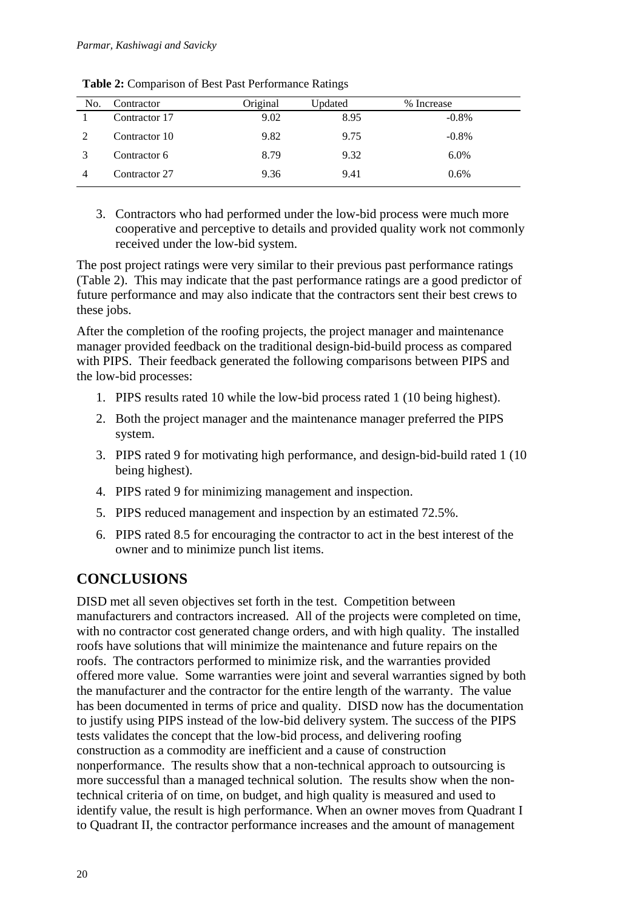| No. | Contractor    | Original | Updated | % Increase |
|-----|---------------|----------|---------|------------|
|     | Contractor 17 | 9.02     | 8.95    | $-0.8\%$   |
|     | Contractor 10 | 9.82     | 9.75    | $-0.8\%$   |
|     | Contractor 6  | 8.79     | 9.32    | 6.0%       |
|     | Contractor 27 | 9.36     | 9.41    | $0.6\%$    |

**Table 2:** Comparison of Best Past Performance Ratings

3. Contractors who had performed under the low-bid process were much more cooperative and perceptive to details and provided quality work not commonly received under the low-bid system.

The post project ratings were very similar to their previous past performance ratings (Table 2). This may indicate that the past performance ratings are a good predictor of future performance and may also indicate that the contractors sent their best crews to these jobs.

After the completion of the roofing projects, the project manager and maintenance manager provided feedback on the traditional design-bid-build process as compared with PIPS. Their feedback generated the following comparisons between PIPS and the low-bid processes:

- 1. PIPS results rated 10 while the low-bid process rated 1 (10 being highest).
- 2. Both the project manager and the maintenance manager preferred the PIPS system.
- 3. PIPS rated 9 for motivating high performance, and design-bid-build rated 1 (10 being highest).
- 4. PIPS rated 9 for minimizing management and inspection.
- 5. PIPS reduced management and inspection by an estimated 72.5%.
- 6. PIPS rated 8.5 for encouraging the contractor to act in the best interest of the owner and to minimize punch list items.

## **CONCLUSIONS**

DISD met all seven objectives set forth in the test. Competition between manufacturers and contractors increased. All of the projects were completed on time, with no contractor cost generated change orders, and with high quality. The installed roofs have solutions that will minimize the maintenance and future repairs on the roofs. The contractors performed to minimize risk, and the warranties provided offered more value. Some warranties were joint and several warranties signed by both the manufacturer and the contractor for the entire length of the warranty. The value has been documented in terms of price and quality. DISD now has the documentation to justify using PIPS instead of the low-bid delivery system. The success of the PIPS tests validates the concept that the low-bid process, and delivering roofing construction as a commodity are inefficient and a cause of construction nonperformance. The results show that a non-technical approach to outsourcing is more successful than a managed technical solution. The results show when the nontechnical criteria of on time, on budget, and high quality is measured and used to identify value, the result is high performance. When an owner moves from Quadrant I to Quadrant II, the contractor performance increases and the amount of management